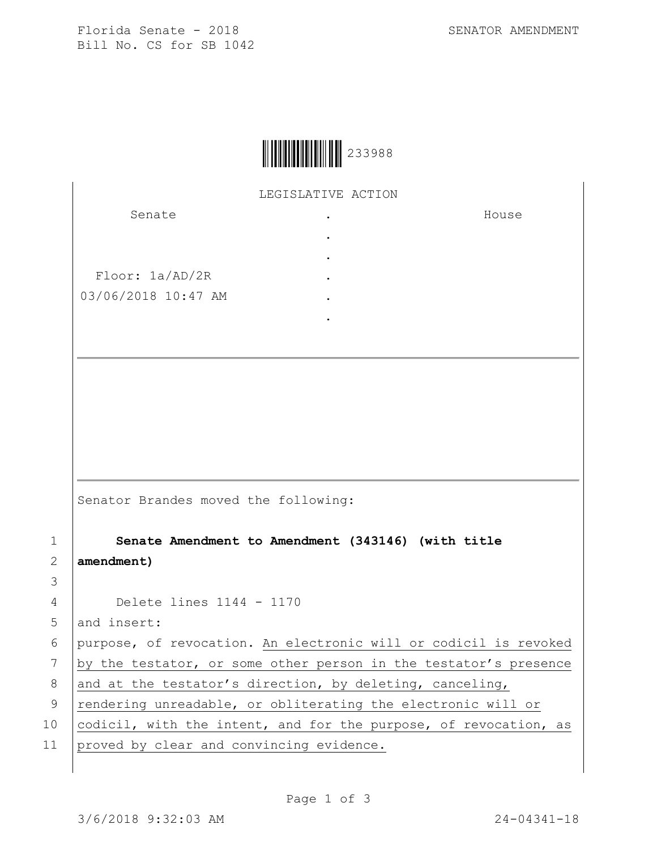House



LEGISLATIVE ACTION

. . . . . .

Senate

Floor: 1a/AD/2R 03/06/2018 10:47 AM

Senator Brandes moved the following:

1 **Senate Amendment to Amendment (343146) (with title**  2 **amendment)**

3

4 Delete lines 1144 - 1170

5 and insert:

6 purpose, of revocation. An electronic will or codicil is revoked 7 by the testator, or some other person in the testator's presence 8 and at the testator's direction, by deleting, canceling,

9 | rendering unreadable, or obliterating the electronic will or

10 codicil, with the intent, and for the purpose, of revocation, as

11 proved by clear and convincing evidence.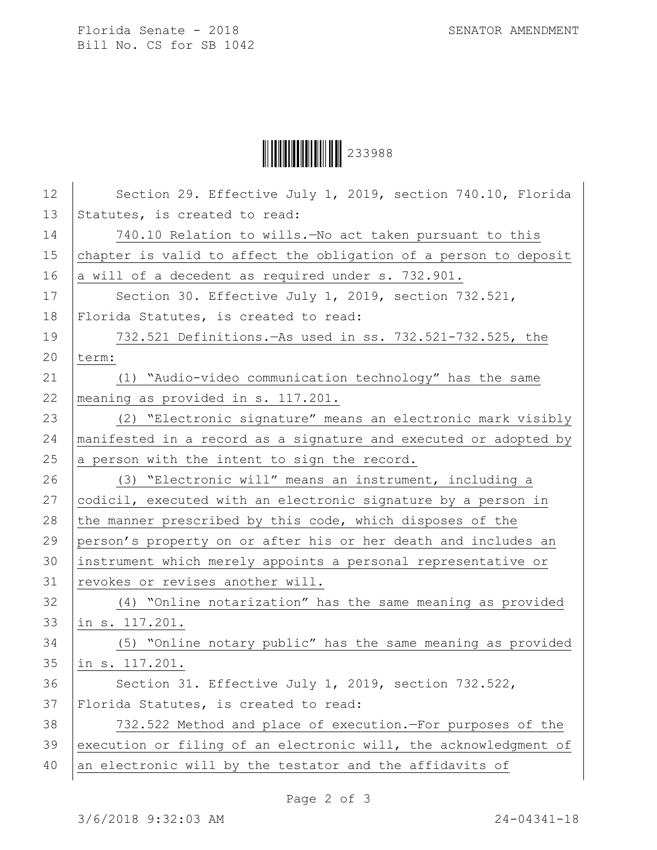Florida Senate - 2018 SENATOR AMENDMENT Bill No. CS for SB 1042

Ì233988bÎ233988

| 12 | Section 29. Effective July 1, 2019, section 740.10, Florida      |
|----|------------------------------------------------------------------|
| 13 | Statutes, is created to read:                                    |
| 14 | 740.10 Relation to wills. - No act taken pursuant to this        |
| 15 | chapter is valid to affect the obligation of a person to deposit |
| 16 | a will of a decedent as required under s. 732.901.               |
| 17 | Section 30. Effective July 1, 2019, section 732.521,             |
| 18 | Florida Statutes, is created to read:                            |
| 19 | 732.521 Definitions. - As used in ss. 732.521-732.525, the       |
| 20 | term:                                                            |
| 21 | (1) "Audio-video communication technology" has the same          |
| 22 | meaning as provided in s. 117.201.                               |
| 23 | (2) "Electronic signature" means an electronic mark visibly      |
| 24 | manifested in a record as a signature and executed or adopted by |
| 25 | a person with the intent to sign the record.                     |
| 26 | (3) "Electronic will" means an instrument, including a           |
| 27 | codicil, executed with an electronic signature by a person in    |
| 28 | the manner prescribed by this code, which disposes of the        |
| 29 | person's property on or after his or her death and includes an   |
| 30 | instrument which merely appoints a personal representative or    |
| 31 | revokes or revises another will.                                 |
| 32 | (4) "Online notarization" has the same meaning as provided       |
| 33 | in s. 117.201.                                                   |
| 34 | (5) "Online notary public" has the same meaning as provided      |
| 35 | in s. 117.201.                                                   |
| 36 | Section 31. Effective July 1, 2019, section 732.522,             |
| 37 | Florida Statutes, is created to read:                            |
| 38 | 732.522 Method and place of execution.-For purposes of the       |
| 39 |                                                                  |
|    | execution or filing of an electronic will, the acknowledgment of |